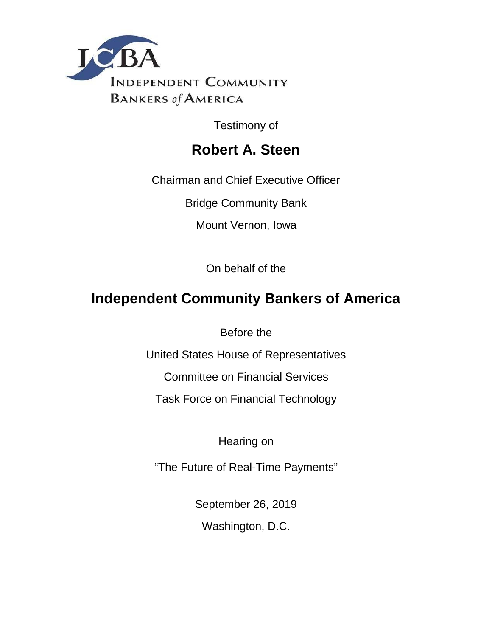

Testimony of

## **Robert A. Steen**

Chairman and Chief Executive Officer

Bridge Community Bank

Mount Vernon, Iowa

On behalf of the

# **Independent Community Bankers of America**

Before the

United States House of Representatives

Committee on Financial Services

Task Force on Financial Technology

Hearing on

"The Future of Real-Time Payments"

September 26, 2019

Washington, D.C.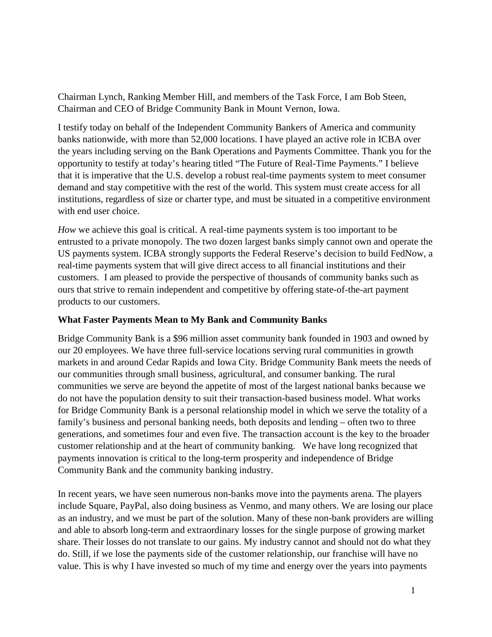Chairman Lynch, Ranking Member Hill, and members of the Task Force, I am Bob Steen, Chairman and CEO of Bridge Community Bank in Mount Vernon, Iowa.

I testify today on behalf of the Independent Community Bankers of America and community banks nationwide, with more than 52,000 locations. I have played an active role in ICBA over the years including serving on the Bank Operations and Payments Committee. Thank you for the opportunity to testify at today's hearing titled "The Future of Real-Time Payments." I believe that it is imperative that the U.S. develop a robust real-time payments system to meet consumer demand and stay competitive with the rest of the world. This system must create access for all institutions, regardless of size or charter type, and must be situated in a competitive environment with end user choice.

*How* we achieve this goal is critical. A real-time payments system is too important to be entrusted to a private monopoly. The two dozen largest banks simply cannot own and operate the US payments system. ICBA strongly supports the Federal Reserve's decision to build FedNow, a real-time payments system that will give direct access to all financial institutions and their customers. I am pleased to provide the perspective of thousands of community banks such as ours that strive to remain independent and competitive by offering state-of-the-art payment products to our customers.

#### **What Faster Payments Mean to My Bank and Community Banks**

Bridge Community Bank is a \$96 million asset community bank founded in 1903 and owned by our 20 employees. We have three full-service locations serving rural communities in growth markets in and around Cedar Rapids and Iowa City. Bridge Community Bank meets the needs of our communities through small business, agricultural, and consumer banking. The rural communities we serve are beyond the appetite of most of the largest national banks because we do not have the population density to suit their transaction-based business model. What works for Bridge Community Bank is a personal relationship model in which we serve the totality of a family's business and personal banking needs, both deposits and lending – often two to three generations, and sometimes four and even five. The transaction account is the key to the broader customer relationship and at the heart of community banking. We have long recognized that payments innovation is critical to the long-term prosperity and independence of Bridge Community Bank and the community banking industry.

In recent years, we have seen numerous non-banks move into the payments arena. The players include Square, PayPal, also doing business as Venmo, and many others. We are losing our place as an industry, and we must be part of the solution. Many of these non-bank providers are willing and able to absorb long-term and extraordinary losses for the single purpose of growing market share. Their losses do not translate to our gains. My industry cannot and should not do what they do. Still, if we lose the payments side of the customer relationship, our franchise will have no value. This is why I have invested so much of my time and energy over the years into payments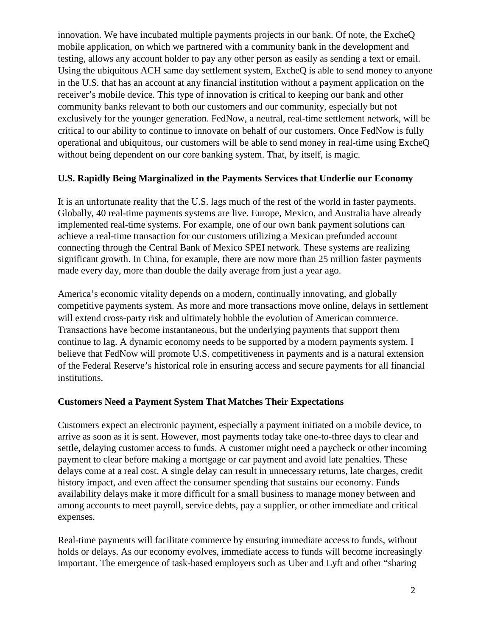innovation. We have incubated multiple payments projects in our bank. Of note, the ExcheQ mobile application, on which we partnered with a community bank in the development and testing, allows any account holder to pay any other person as easily as sending a text or email. Using the ubiquitous ACH same day settlement system, ExcheQ is able to send money to anyone in the U.S. that has an account at any financial institution without a payment application on the receiver's mobile device. This type of innovation is critical to keeping our bank and other community banks relevant to both our customers and our community, especially but not exclusively for the younger generation. FedNow, a neutral, real-time settlement network, will be critical to our ability to continue to innovate on behalf of our customers. Once FedNow is fully operational and ubiquitous, our customers will be able to send money in real-time using ExcheQ without being dependent on our core banking system. That, by itself, is magic.

#### **U.S. Rapidly Being Marginalized in the Payments Services that Underlie our Economy**

It is an unfortunate reality that the U.S. lags much of the rest of the world in faster payments. Globally, 40 real-time payments systems are live. Europe, Mexico, and Australia have already implemented real-time systems. For example, one of our own bank payment solutions can achieve a real-time transaction for our customers utilizing a Mexican prefunded account connecting through the Central Bank of Mexico SPEI network. These systems are realizing significant growth. In China, for example, there are now more than 25 million faster payments made every day, more than double the daily average from just a year ago.

America's economic vitality depends on a modern, continually innovating, and globally competitive payments system. As more and more transactions move online, delays in settlement will extend cross-party risk and ultimately hobble the evolution of American commerce. Transactions have become instantaneous, but the underlying payments that support them continue to lag. A dynamic economy needs to be supported by a modern payments system. I believe that FedNow will promote U.S. competitiveness in payments and is a natural extension of the Federal Reserve's historical role in ensuring access and secure payments for all financial institutions.

#### **Customers Need a Payment System That Matches Their Expectations**

Customers expect an electronic payment, especially a payment initiated on a mobile device, to arrive as soon as it is sent. However, most payments today take one-to-three days to clear and settle, delaying customer access to funds. A customer might need a paycheck or other incoming payment to clear before making a mortgage or car payment and avoid late penalties. These delays come at a real cost. A single delay can result in unnecessary returns, late charges, credit history impact, and even affect the consumer spending that sustains our economy. Funds availability delays make it more difficult for a small business to manage money between and among accounts to meet payroll, service debts, pay a supplier, or other immediate and critical expenses.

Real-time payments will facilitate commerce by ensuring immediate access to funds, without holds or delays. As our economy evolves, immediate access to funds will become increasingly important. The emergence of task-based employers such as Uber and Lyft and other "sharing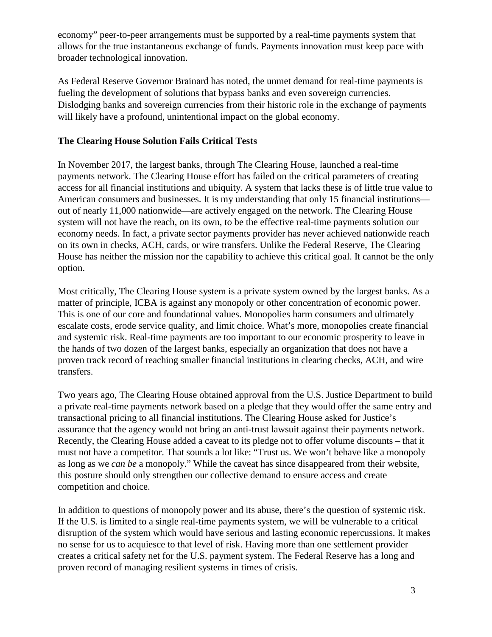economy" peer-to-peer arrangements must be supported by a real-time payments system that allows for the true instantaneous exchange of funds. Payments innovation must keep pace with broader technological innovation.

As Federal Reserve Governor Brainard has noted, the unmet demand for real-time payments is fueling the development of solutions that bypass banks and even sovereign currencies. Dislodging banks and sovereign currencies from their historic role in the exchange of payments will likely have a profound, unintentional impact on the global economy.

## **The Clearing House Solution Fails Critical Tests**

In November 2017, the largest banks, through The Clearing House, launched a real-time payments network. The Clearing House effort has failed on the critical parameters of creating access for all financial institutions and ubiquity. A system that lacks these is of little true value to American consumers and businesses. It is my understanding that only 15 financial institutions out of nearly 11,000 nationwide—are actively engaged on the network. The Clearing House system will not have the reach, on its own, to be the effective real-time payments solution our economy needs. In fact, a private sector payments provider has never achieved nationwide reach on its own in checks, ACH, cards, or wire transfers. Unlike the Federal Reserve, The Clearing House has neither the mission nor the capability to achieve this critical goal. It cannot be the only option.

Most critically, The Clearing House system is a private system owned by the largest banks. As a matter of principle, ICBA is against any monopoly or other concentration of economic power. This is one of our core and foundational values. Monopolies harm consumers and ultimately escalate costs, erode service quality, and limit choice. What's more, monopolies create financial and systemic risk. Real-time payments are too important to our economic prosperity to leave in the hands of two dozen of the largest banks, especially an organization that does not have a proven track record of reaching smaller financial institutions in clearing checks, ACH, and wire transfers.

Two years ago, The Clearing House obtained approval from the U.S. Justice Department to build a private real-time payments network based on a pledge that they would offer the same entry and transactional pricing to all financial institutions. The Clearing House asked for Justice's assurance that the agency would not bring an anti-trust lawsuit against their payments network. Recently, the Clearing House added a caveat to its pledge not to offer volume discounts – that it must not have a competitor. That sounds a lot like: "Trust us. We won't behave like a monopoly as long as we *can be* a monopoly." While the caveat has since disappeared from their website, this posture should only strengthen our collective demand to ensure access and create competition and choice.

In addition to questions of monopoly power and its abuse, there's the question of systemic risk. If the U.S. is limited to a single real-time payments system, we will be vulnerable to a critical disruption of the system which would have serious and lasting economic repercussions. It makes no sense for us to acquiesce to that level of risk. Having more than one settlement provider creates a critical safety net for the U.S. payment system. The Federal Reserve has a long and proven record of managing resilient systems in times of crisis.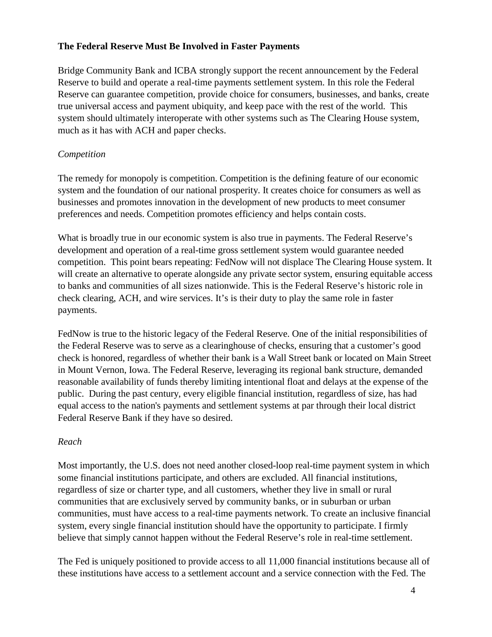#### **The Federal Reserve Must Be Involved in Faster Payments**

Bridge Community Bank and ICBA strongly support the recent announcement by the Federal Reserve to build and operate a real-time payments settlement system. In this role the Federal Reserve can guarantee competition, provide choice for consumers, businesses, and banks, create true universal access and payment ubiquity, and keep pace with the rest of the world. This system should ultimately interoperate with other systems such as The Clearing House system, much as it has with ACH and paper checks.

#### *Competition*

The remedy for monopoly is competition. Competition is the defining feature of our economic system and the foundation of our national prosperity. It creates choice for consumers as well as businesses and promotes innovation in the development of new products to meet consumer preferences and needs. Competition promotes efficiency and helps contain costs.

What is broadly true in our economic system is also true in payments. The Federal Reserve's development and operation of a real-time gross settlement system would guarantee needed competition. This point bears repeating: FedNow will not displace The Clearing House system. It will create an alternative to operate alongside any private sector system, ensuring equitable access to banks and communities of all sizes nationwide. This is the Federal Reserve's historic role in check clearing, ACH, and wire services. It's is their duty to play the same role in faster payments.

FedNow is true to the historic legacy of the Federal Reserve. One of the initial responsibilities of the Federal Reserve was to serve as a clearinghouse of checks, ensuring that a customer's good check is honored, regardless of whether their bank is a Wall Street bank or located on Main Street in Mount Vernon, Iowa. The Federal Reserve, leveraging its regional bank structure, demanded reasonable availability of funds thereby limiting intentional float and delays at the expense of the public. During the past century, every eligible financial institution, regardless of size, has had equal access to the nation's payments and settlement systems at par through their local district Federal Reserve Bank if they have so desired.

#### *Reach*

Most importantly, the U.S. does not need another closed-loop real-time payment system in which some financial institutions participate, and others are excluded. All financial institutions, regardless of size or charter type, and all customers, whether they live in small or rural communities that are exclusively served by community banks, or in suburban or urban communities, must have access to a real-time payments network. To create an inclusive financial system, every single financial institution should have the opportunity to participate. I firmly believe that simply cannot happen without the Federal Reserve's role in real-time settlement.

The Fed is uniquely positioned to provide access to all 11,000 financial institutions because all of these institutions have access to a settlement account and a service connection with the Fed. The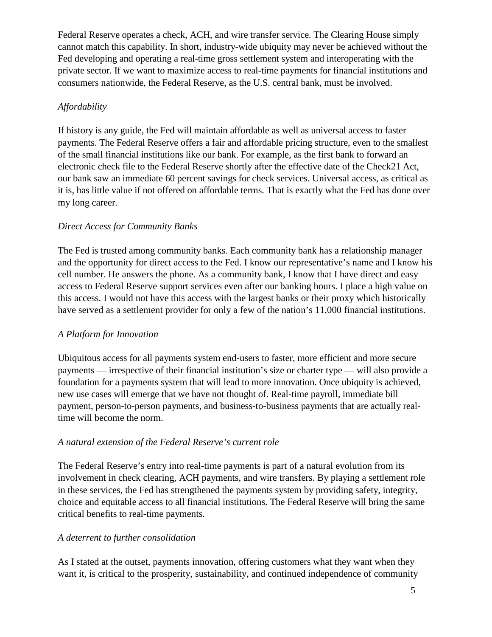Federal Reserve operates a check, ACH, and wire transfer service. The Clearing House simply cannot match this capability. In short, industry-wide ubiquity may never be achieved without the Fed developing and operating a real-time gross settlement system and interoperating with the private sector. If we want to maximize access to real-time payments for financial institutions and consumers nationwide, the Federal Reserve, as the U.S. central bank, must be involved.

## *Affordability*

If history is any guide, the Fed will maintain affordable as well as universal access to faster payments. The Federal Reserve offers a fair and affordable pricing structure, even to the smallest of the small financial institutions like our bank. For example, as the first bank to forward an electronic check file to the Federal Reserve shortly after the effective date of the Check21 Act, our bank saw an immediate 60 percent savings for check services. Universal access, as critical as it is, has little value if not offered on affordable terms. That is exactly what the Fed has done over my long career.

## *Direct Access for Community Banks*

The Fed is trusted among community banks. Each community bank has a relationship manager and the opportunity for direct access to the Fed. I know our representative's name and I know his cell number. He answers the phone. As a community bank, I know that I have direct and easy access to Federal Reserve support services even after our banking hours. I place a high value on this access. I would not have this access with the largest banks or their proxy which historically have served as a settlement provider for only a few of the nation's 11,000 financial institutions.

## *A Platform for Innovation*

Ubiquitous access for all payments system end-users to faster, more efficient and more secure payments — irrespective of their financial institution's size or charter type — will also provide a foundation for a payments system that will lead to more innovation. Once ubiquity is achieved, new use cases will emerge that we have not thought of. Real-time payroll, immediate bill payment, person-to-person payments, and business-to-business payments that are actually realtime will become the norm.

## *A natural extension of the Federal Reserve's current role*

The Federal Reserve's entry into real-time payments is part of a natural evolution from its involvement in check clearing, ACH payments, and wire transfers. By playing a settlement role in these services, the Fed has strengthened the payments system by providing safety, integrity, choice and equitable access to all financial institutions. The Federal Reserve will bring the same critical benefits to real-time payments.

## *A deterrent to further consolidation*

As I stated at the outset, payments innovation, offering customers what they want when they want it, is critical to the prosperity, sustainability, and continued independence of community